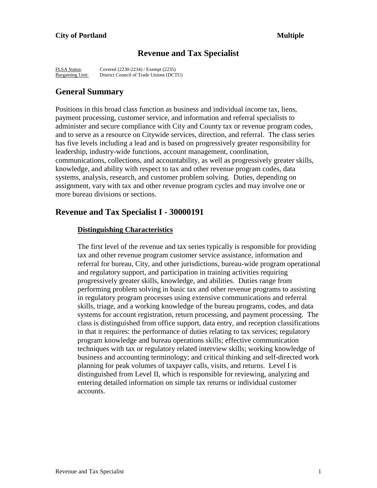# **Revenue and Tax Specialist**

FLSA Status: Covered (2230-2234) / Exempt (2235)<br>Bargaining Unit: District Council of Trade Unions (DCT District Council of Trade Unions (DCTU)

# **General Summary**

Positions in this broad class function as business and individual income tax, liens, payment processing, customer service, and information and referral specialists to administer and secure compliance with City and County tax or revenue program codes, and to serve as a resource on Citywide services, direction, and referral. The class series has five levels including a lead and is based on progressively greater responsibility for leadership, industry-wide functions, account management, coordination, communications, collections, and accountability, as well as progressively greater skills, knowledge, and ability with respect to tax and other revenue program codes, data systems, analysis, research, and customer problem solving. Duties, depending on assignment, vary with tax and other revenue program cycles and may involve one or more bureau divisions or sections.

# **Revenue and Tax Specialist I - 30000191**

#### **Distinguishing Characteristics**

The first level of the revenue and tax series typically is responsible for providing tax and other revenue program customer service assistance, information and referral for bureau, City, and other jurisdictions, bureau-wide program operational and regulatory support, and participation in training activities requiring progressively greater skills, knowledge, and abilities. Duties range from performing problem solving in basic tax and other revenue programs to assisting in regulatory program processes using extensive communications and referral skills, triage, and a working knowledge of the bureau programs, codes, and data systems for account registration, return processing, and payment processing. The class is distinguished from office support, data entry, and reception classifications in that it requires: the performance of duties relating to tax services; regulatory program knowledge and bureau operations skills; effective communication techniques with tax or regulatory related interview skills; working knowledge of business and accounting terminology; and critical thinking and self-directed work planning for peak volumes of taxpayer calls, visits, and returns. Level I is distinguished from Level II, which is responsible for reviewing, analyzing and entering detailed information on simple tax returns or individual customer accounts.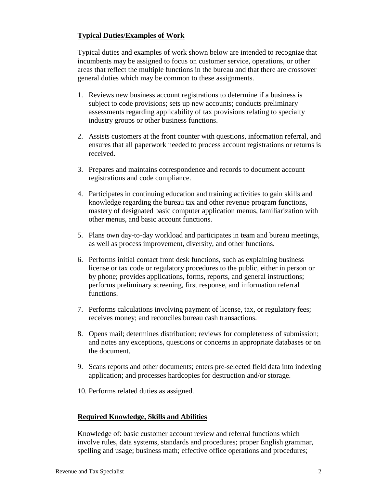# **Typical Duties/Examples of Work**

Typical duties and examples of work shown below are intended to recognize that incumbents may be assigned to focus on customer service, operations, or other areas that reflect the multiple functions in the bureau and that there are crossover general duties which may be common to these assignments.

- 1. Reviews new business account registrations to determine if a business is subject to code provisions; sets up new accounts; conducts preliminary assessments regarding applicability of tax provisions relating to specialty industry groups or other business functions.
- 2. Assists customers at the front counter with questions, information referral, and ensures that all paperwork needed to process account registrations or returns is received.
- 3. Prepares and maintains correspondence and records to document account registrations and code compliance.
- 4. Participates in continuing education and training activities to gain skills and knowledge regarding the bureau tax and other revenue program functions, mastery of designated basic computer application menus, familiarization with other menus, and basic account functions.
- 5. Plans own day-to-day workload and participates in team and bureau meetings, as well as process improvement, diversity, and other functions.
- 6. Performs initial contact front desk functions, such as explaining business license or tax code or regulatory procedures to the public, either in person or by phone; provides applications, forms, reports, and general instructions; performs preliminary screening, first response, and information referral functions.
- 7. Performs calculations involving payment of license, tax, or regulatory fees; receives money; and reconciles bureau cash transactions.
- 8. Opens mail; determines distribution; reviews for completeness of submission; and notes any exceptions, questions or concerns in appropriate databases or on the document.
- 9. Scans reports and other documents; enters pre-selected field data into indexing application; and processes hardcopies for destruction and/or storage.
- 10. Performs related duties as assigned.

## **Required Knowledge, Skills and Abilities**

Knowledge of: basic customer account review and referral functions which involve rules, data systems, standards and procedures; proper English grammar, spelling and usage; business math; effective office operations and procedures;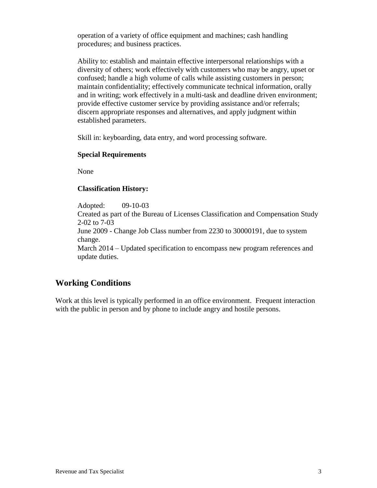operation of a variety of office equipment and machines; cash handling procedures; and business practices.

Ability to: establish and maintain effective interpersonal relationships with a diversity of others; work effectively with customers who may be angry, upset or confused; handle a high volume of calls while assisting customers in person; maintain confidentiality; effectively communicate technical information, orally and in writing; work effectively in a multi-task and deadline driven environment; provide effective customer service by providing assistance and/or referrals; discern appropriate responses and alternatives, and apply judgment within established parameters.

Skill in: keyboarding, data entry, and word processing software.

## **Special Requirements**

None

## **Classification History:**

Adopted: 09-10-03

Created as part of the Bureau of Licenses Classification and Compensation Study 2-02 to 7-03

June 2009 - Change Job Class number from 2230 to 30000191, due to system change.

March 2014 – Updated specification to encompass new program references and update duties.

# **Working Conditions**

Work at this level is typically performed in an office environment. Frequent interaction with the public in person and by phone to include angry and hostile persons.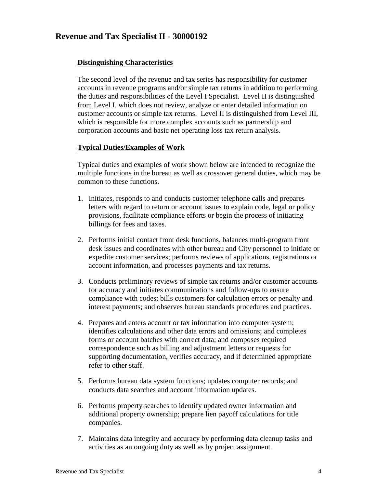# **Revenue and Tax Specialist II - 30000192**

## **Distinguishing Characteristics**

The second level of the revenue and tax series has responsibility for customer accounts in revenue programs and/or simple tax returns in addition to performing the duties and responsibilities of the Level I Specialist. Level II is distinguished from Level I, which does not review, analyze or enter detailed information on customer accounts or simple tax returns. Level II is distinguished from Level III, which is responsible for more complex accounts such as partnership and corporation accounts and basic net operating loss tax return analysis.

## **Typical Duties/Examples of Work**

Typical duties and examples of work shown below are intended to recognize the multiple functions in the bureau as well as crossover general duties, which may be common to these functions.

- 1. Initiates, responds to and conducts customer telephone calls and prepares letters with regard to return or account issues to explain code, legal or policy provisions, facilitate compliance efforts or begin the process of initiating billings for fees and taxes.
- 2. Performs initial contact front desk functions, balances multi-program front desk issues and coordinates with other bureau and City personnel to initiate or expedite customer services; performs reviews of applications, registrations or account information, and processes payments and tax returns.
- 3. Conducts preliminary reviews of simple tax returns and/or customer accounts for accuracy and initiates communications and follow-ups to ensure compliance with codes; bills customers for calculation errors or penalty and interest payments; and observes bureau standards procedures and practices.
- 4. Prepares and enters account or tax information into computer system; identifies calculations and other data errors and omissions; and completes forms or account batches with correct data; and composes required correspondence such as billing and adjustment letters or requests for supporting documentation, verifies accuracy, and if determined appropriate refer to other staff.
- 5. Performs bureau data system functions; updates computer records; and conducts data searches and account information updates.
- 6. Performs property searches to identify updated owner information and additional property ownership; prepare lien payoff calculations for title companies.
- 7. Maintains data integrity and accuracy by performing data cleanup tasks and activities as an ongoing duty as well as by project assignment.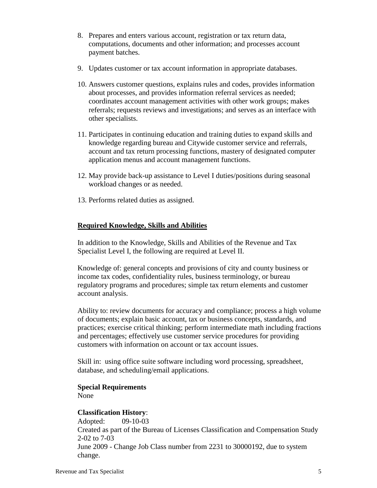- 8. Prepares and enters various account, registration or tax return data, computations, documents and other information; and processes account payment batches.
- 9. Updates customer or tax account information in appropriate databases.
- 10. Answers customer questions, explains rules and codes, provides information about processes, and provides information referral services as needed; coordinates account management activities with other work groups; makes referrals; requests reviews and investigations; and serves as an interface with other specialists.
- 11. Participates in continuing education and training duties to expand skills and knowledge regarding bureau and Citywide customer service and referrals, account and tax return processing functions, mastery of designated computer application menus and account management functions.
- 12. May provide back-up assistance to Level I duties/positions during seasonal workload changes or as needed.
- 13. Performs related duties as assigned.

## **Required Knowledge, Skills and Abilities**

In addition to the Knowledge, Skills and Abilities of the Revenue and Tax Specialist Level I, the following are required at Level II.

Knowledge of: general concepts and provisions of city and county business or income tax codes, confidentiality rules, business terminology, or bureau regulatory programs and procedures; simple tax return elements and customer account analysis.

Ability to: review documents for accuracy and compliance; process a high volume of documents; explain basic account, tax or business concepts, standards, and practices; exercise critical thinking; perform intermediate math including fractions and percentages; effectively use customer service procedures for providing customers with information on account or tax account issues.

Skill in: using office suite software including word processing, spreadsheet, database, and scheduling/email applications.

# **Special Requirements**

None

# **Classification History**:

Adopted: 09-10-03 Created as part of the Bureau of Licenses Classification and Compensation Study 2-02 to 7-03 June 2009 - Change Job Class number from 2231 to 30000192, due to system change.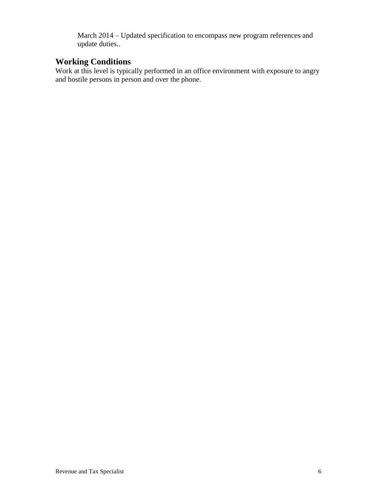March 2014 – Updated specification to encompass new program references and update duties..

# **Working Conditions**

Work at this level is typically performed in an office environment with exposure to angry and hostile persons in person and over the phone.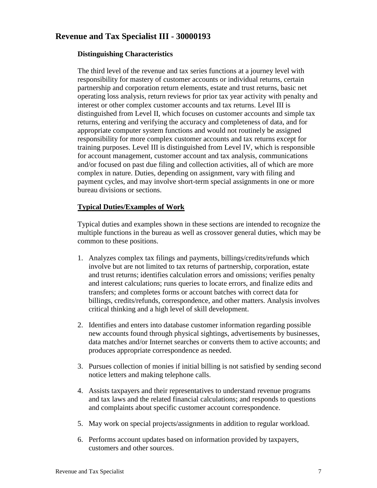# **Revenue and Tax Specialist III - 30000193**

## **Distinguishing Characteristics**

The third level of the revenue and tax series functions at a journey level with responsibility for mastery of customer accounts or individual returns, certain partnership and corporation return elements, estate and trust returns, basic net operating loss analysis, return reviews for prior tax year activity with penalty and interest or other complex customer accounts and tax returns. Level III is distinguished from Level II, which focuses on customer accounts and simple tax returns, entering and verifying the accuracy and completeness of data, and for appropriate computer system functions and would not routinely be assigned responsibility for more complex customer accounts and tax returns except for training purposes. Level III is distinguished from Level IV, which is responsible for account management, customer account and tax analysis, communications and/or focused on past due filing and collection activities, all of which are more complex in nature. Duties, depending on assignment, vary with filing and payment cycles, and may involve short-term special assignments in one or more bureau divisions or sections.

## **Typical Duties/Examples of Work**

Typical duties and examples shown in these sections are intended to recognize the multiple functions in the bureau as well as crossover general duties, which may be common to these positions.

- 1. Analyzes complex tax filings and payments, billings/credits/refunds which involve but are not limited to tax returns of partnership, corporation, estate and trust returns; identifies calculation errors and omissions; verifies penalty and interest calculations; runs queries to locate errors, and finalize edits and transfers; and completes forms or account batches with correct data for billings, credits/refunds, correspondence, and other matters. Analysis involves critical thinking and a high level of skill development.
- 2. Identifies and enters into database customer information regarding possible new accounts found through physical sightings, advertisements by businesses, data matches and/or Internet searches or converts them to active accounts; and produces appropriate correspondence as needed.
- 3. Pursues collection of monies if initial billing is not satisfied by sending second notice letters and making telephone calls.
- 4. Assists taxpayers and their representatives to understand revenue programs and tax laws and the related financial calculations; and responds to questions and complaints about specific customer account correspondence.
- 5. May work on special projects/assignments in addition to regular workload.
- 6. Performs account updates based on information provided by taxpayers, customers and other sources.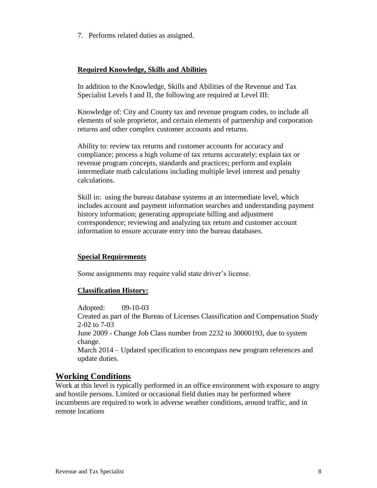7. Performs related duties as assigned.

## **Required Knowledge, Skills and Abilities**

In addition to the Knowledge, Skills and Abilities of the Revenue and Tax Specialist Levels I and II, the following are required at Level III:

Knowledge of: City and County tax and revenue program codes, to include all elements of sole proprietor, and certain elements of partnership and corporation returns and other complex customer accounts and returns.

Ability to: review tax returns and customer accounts for accuracy and compliance; process a high volume of tax returns accurately; explain tax or revenue program concepts, standards and practices; perform and explain intermediate math calculations including multiple level interest and penalty calculations.

Skill in: using the bureau database systems at an intermediate level, which includes account and payment information searches and understanding payment history information; generating appropriate billing and adjustment correspondence; reviewing and analyzing tax return and customer account information to ensure accurate entry into the bureau databases.

# **Special Requirements**

Some assignments may require valid state driver's license.

## **Classification History:**

Adopted: 09-10-03 Created as part of the Bureau of Licenses Classification and Compensation Study 2-02 to 7-03 June 2009 - Change Job Class number from 2232 to 30000193, due to system change. March 2014 – Updated specification to encompass new program references and update duties.

# **Working Conditions**

Work at this level is typically performed in an office environment with exposure to angry and hostile persons. Limited or occasional field duties may be performed where incumbents are required to work in adverse weather conditions, around traffic, and in remote locations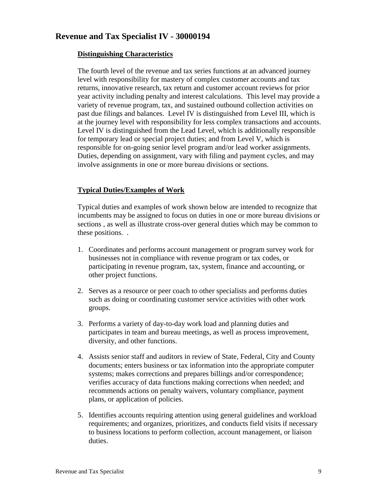# **Revenue and Tax Specialist IV - 30000194**

## **Distinguishing Characteristics**

The fourth level of the revenue and tax series functions at an advanced journey level with responsibility for mastery of complex customer accounts and tax returns, innovative research, tax return and customer account reviews for prior year activity including penalty and interest calculations. This level may provide a variety of revenue program, tax, and sustained outbound collection activities on past due filings and balances. Level IV is distinguished from Level III, which is at the journey level with responsibility for less complex transactions and accounts. Level IV is distinguished from the Lead Level, which is additionally responsible for temporary lead or special project duties; and from Level V, which is responsible for on-going senior level program and/or lead worker assignments. Duties, depending on assignment, vary with filing and payment cycles, and may involve assignments in one or more bureau divisions or sections.

# **Typical Duties/Examples of Work**

Typical duties and examples of work shown below are intended to recognize that incumbents may be assigned to focus on duties in one or more bureau divisions or sections , as well as illustrate cross-over general duties which may be common to these positions. .

- 1. Coordinates and performs account management or program survey work for businesses not in compliance with revenue program or tax codes, or participating in revenue program, tax, system, finance and accounting, or other project functions.
- 2. Serves as a resource or peer coach to other specialists and performs duties such as doing or coordinating customer service activities with other work groups.
- 3. Performs a variety of day-to-day work load and planning duties and participates in team and bureau meetings, as well as process improvement, diversity, and other functions.
- 4. Assists senior staff and auditors in review of State, Federal, City and County documents; enters business or tax information into the appropriate computer systems; makes corrections and prepares billings and/or correspondence; verifies accuracy of data functions making corrections when needed; and recommends actions on penalty waivers, voluntary compliance, payment plans, or application of policies.
- 5. Identifies accounts requiring attention using general guidelines and workload requirements; and organizes, prioritizes, and conducts field visits if necessary to business locations to perform collection, account management, or liaison duties.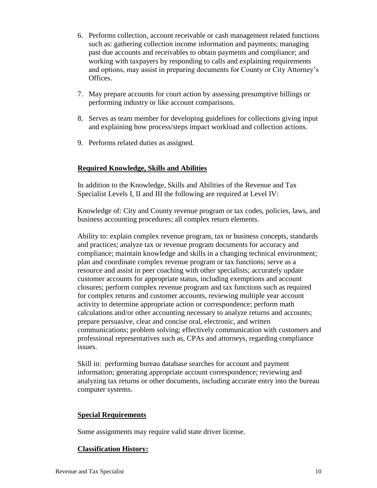- 6. Performs collection, account receivable or cash management related functions such as: gathering collection income information and payments; managing past due accounts and receivables to obtain payments and compliance; and working with taxpayers by responding to calls and explaining requirements and options, may assist in preparing documents for County or City Attorney's Offices.
- 7. May prepare accounts for court action by assessing presumptive billings or performing industry or like account comparisons.
- 8. Serves as team member for developing guidelines for collections giving input and explaining how process/steps impact workload and collection actions.
- 9. Performs related duties as assigned.

# **Required Knowledge, Skills and Abilities**

In addition to the Knowledge, Skills and Abilities of the Revenue and Tax Specialist Levels I, II and III the following are required at Level IV:

Knowledge of: City and County revenue program or tax codes, policies, laws, and business accounting procedures; all complex return elements.

Ability to: explain complex revenue program, tax or business concepts, standards and practices; analyze tax or revenue program documents for accuracy and compliance; maintain knowledge and skills in a changing technical environment; plan and coordinate complex revenue program or tax functions; serve as a resource and assist in peer coaching with other specialists; accurately update customer accounts for appropriate status, including exemptions and account closures; perform complex revenue program and tax functions such as required for complex returns and customer accounts, reviewing multiple year account activity to determine appropriate action or correspondence; perform math calculations and/or other accounting necessary to analyze returns and accounts; prepare persuasive, clear and concise oral, electronic, and written communications; problem solving; effectively communication with customers and professional representatives such as, CPAs and attorneys, regarding compliance issues.

Skill in: performing bureau database searches for account and payment information; generating appropriate account correspondence; reviewing and analyzing tax returns or other documents, including accurate entry into the bureau computer systems.

# **Special Requirements**

Some assignments may require valid state driver license.

# **Classification History:**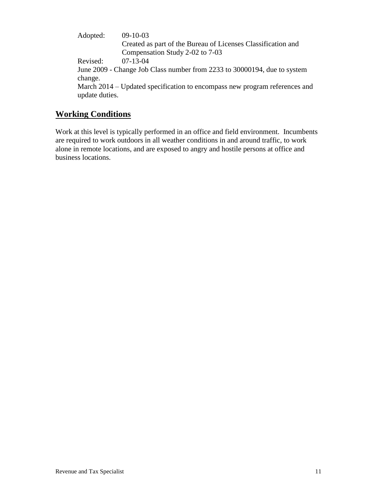Adopted: 09-10-03 Created as part of the Bureau of Licenses Classification and Compensation Study 2-02 to 7-03 Revised: 07-13-04 June 2009 - Change Job Class number from 2233 to 30000194, due to system change. March 2014 – Updated specification to encompass new program references and update duties.

# **Working Conditions**

Work at this level is typically performed in an office and field environment. Incumbents are required to work outdoors in all weather conditions in and around traffic, to work alone in remote locations, and are exposed to angry and hostile persons at office and business locations.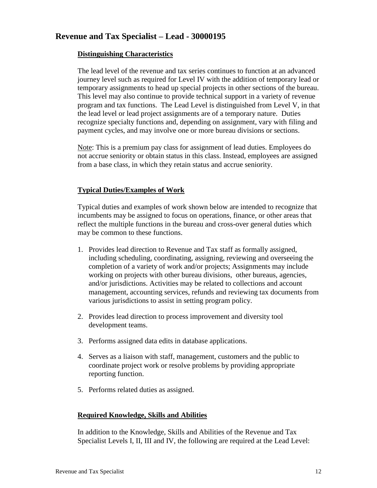# **Revenue and Tax Specialist – Lead - 30000195**

## **Distinguishing Characteristics**

The lead level of the revenue and tax series continues to function at an advanced journey level such as required for Level IV with the addition of temporary lead or temporary assignments to head up special projects in other sections of the bureau. This level may also continue to provide technical support in a variety of revenue program and tax functions. The Lead Level is distinguished from Level V, in that the lead level or lead project assignments are of a temporary nature. Duties recognize specialty functions and, depending on assignment, vary with filing and payment cycles, and may involve one or more bureau divisions or sections.

Note: This is a premium pay class for assignment of lead duties. Employees do not accrue seniority or obtain status in this class. Instead, employees are assigned from a base class, in which they retain status and accrue seniority.

## **Typical Duties/Examples of Work**

Typical duties and examples of work shown below are intended to recognize that incumbents may be assigned to focus on operations, finance, or other areas that reflect the multiple functions in the bureau and cross-over general duties which may be common to these functions.

- 1. Provides lead direction to Revenue and Tax staff as formally assigned, including scheduling, coordinating, assigning, reviewing and overseeing the completion of a variety of work and/or projects; Assignments may include working on projects with other bureau divisions, other bureaus, agencies, and/or jurisdictions. Activities may be related to collections and account management, accounting services, refunds and reviewing tax documents from various jurisdictions to assist in setting program policy.
- 2. Provides lead direction to process improvement and diversity tool development teams.
- 3. Performs assigned data edits in database applications.
- 4. Serves as a liaison with staff, management, customers and the public to coordinate project work or resolve problems by providing appropriate reporting function.
- 5. Performs related duties as assigned.

## **Required Knowledge, Skills and Abilities**

In addition to the Knowledge, Skills and Abilities of the Revenue and Tax Specialist Levels I, II, III and IV, the following are required at the Lead Level: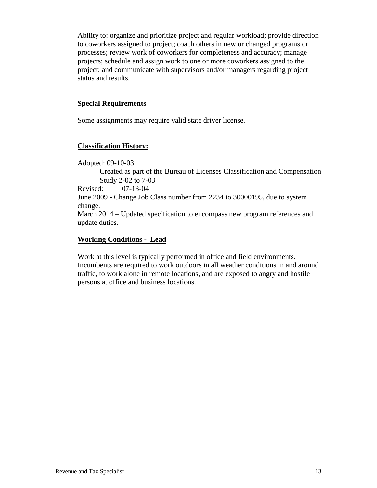Ability to: organize and prioritize project and regular workload; provide direction to coworkers assigned to project; coach others in new or changed programs or processes; review work of coworkers for completeness and accuracy; manage projects; schedule and assign work to one or more coworkers assigned to the project; and communicate with supervisors and/or managers regarding project status and results.

#### **Special Requirements**

Some assignments may require valid state driver license.

## **Classification History:**

Adopted: 09-10-03 Created as part of the Bureau of Licenses Classification and Compensation Study 2-02 to 7-03

Revised: 07-13-04 June 2009 - Change Job Class number from 2234 to 30000195, due to system change. March 2014 – Updated specification to encompass new program references and update duties.

## **Working Conditions - Lead**

Work at this level is typically performed in office and field environments. Incumbents are required to work outdoors in all weather conditions in and around traffic, to work alone in remote locations, and are exposed to angry and hostile persons at office and business locations.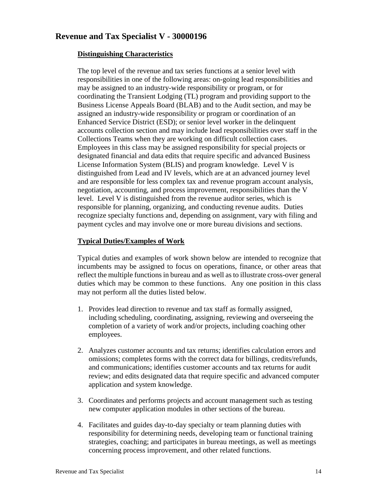# **Revenue and Tax Specialist V - 30000196**

## **Distinguishing Characteristics**

The top level of the revenue and tax series functions at a senior level with responsibilities in one of the following areas: on-going lead responsibilities and may be assigned to an industry-wide responsibility or program, or for coordinating the Transient Lodging (TL) program and providing support to the Business License Appeals Board (BLAB) and to the Audit section, and may be assigned an industry-wide responsibility or program or coordination of an Enhanced Service District (ESD); or senior level worker in the delinquent accounts collection section and may include lead responsibilities over staff in the Collections Teams when they are working on difficult collection cases. Employees in this class may be assigned responsibility for special projects or designated financial and data edits that require specific and advanced Business License Information System (BLIS) and program knowledge. Level V is distinguished from Lead and IV levels, which are at an advanced journey level and are responsible for less complex tax and revenue program account analysis, negotiation, accounting, and process improvement, responsibilities than the V level. Level V is distinguished from the revenue auditor series, which is responsible for planning, organizing, and conducting revenue audits. Duties recognize specialty functions and, depending on assignment, vary with filing and payment cycles and may involve one or more bureau divisions and sections.

## **Typical Duties/Examples of Work**

Typical duties and examples of work shown below are intended to recognize that incumbents may be assigned to focus on operations, finance, or other areas that reflect the multiple functions in bureau and as well as to illustrate cross-over general duties which may be common to these functions. Any one position in this class may not perform all the duties listed below.

- 1. Provides lead direction to revenue and tax staff as formally assigned, including scheduling, coordinating, assigning, reviewing and overseeing the completion of a variety of work and/or projects, including coaching other employees.
- 2. Analyzes customer accounts and tax returns; identifies calculation errors and omissions; completes forms with the correct data for billings, credits/refunds, and communications; identifies customer accounts and tax returns for audit review; and edits designated data that require specific and advanced computer application and system knowledge.
- 3. Coordinates and performs projects and account management such as testing new computer application modules in other sections of the bureau.
- 4. Facilitates and guides day-to-day specialty or team planning duties with responsibility for determining needs, developing team or functional training strategies, coaching; and participates in bureau meetings, as well as meetings concerning process improvement, and other related functions.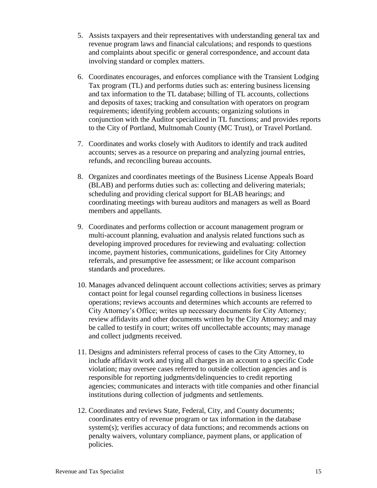- 5. Assists taxpayers and their representatives with understanding general tax and revenue program laws and financial calculations; and responds to questions and complaints about specific or general correspondence, and account data involving standard or complex matters.
- 6. Coordinates encourages, and enforces compliance with the Transient Lodging Tax program (TL) and performs duties such as: entering business licensing and tax information to the TL database; billing of TL accounts, collections and deposits of taxes; tracking and consultation with operators on program requirements; identifying problem accounts; organizing solutions in conjunction with the Auditor specialized in TL functions; and provides reports to the City of Portland, Multnomah County (MC Trust), or Travel Portland.
- 7. Coordinates and works closely with Auditors to identify and track audited accounts; serves as a resource on preparing and analyzing journal entries, refunds, and reconciling bureau accounts.
- 8. Organizes and coordinates meetings of the Business License Appeals Board (BLAB) and performs duties such as: collecting and delivering materials; scheduling and providing clerical support for BLAB hearings; and coordinating meetings with bureau auditors and managers as well as Board members and appellants.
- 9. Coordinates and performs collection or account management program or multi-account planning, evaluation and analysis related functions such as developing improved procedures for reviewing and evaluating: collection income, payment histories, communications, guidelines for City Attorney referrals, and presumptive fee assessment; or like account comparison standards and procedures.
- 10. Manages advanced delinquent account collections activities; serves as primary contact point for legal counsel regarding collections in business licenses operations; reviews accounts and determines which accounts are referred to City Attorney's Office; writes up necessary documents for City Attorney; review affidavits and other documents written by the City Attorney; and may be called to testify in court; writes off uncollectable accounts; may manage and collect judgments received.
- 11. Designs and administers referral process of cases to the City Attorney, to include affidavit work and tying all charges in an account to a specific Code violation; may oversee cases referred to outside collection agencies and is responsible for reporting judgments/delinquencies to credit reporting agencies; communicates and interacts with title companies and other financial institutions during collection of judgments and settlements.
- 12. Coordinates and reviews State, Federal, City, and County documents; coordinates entry of revenue program or tax information in the database system(s); verifies accuracy of data functions; and recommends actions on penalty waivers, voluntary compliance, payment plans, or application of policies.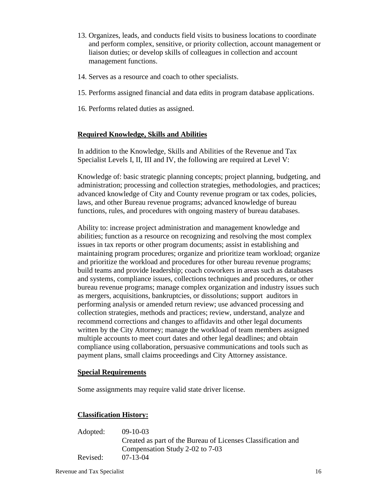- 13. Organizes, leads, and conducts field visits to business locations to coordinate and perform complex, sensitive, or priority collection, account management or liaison duties; or develop skills of colleagues in collection and account management functions.
- 14. Serves as a resource and coach to other specialists.
- 15. Performs assigned financial and data edits in program database applications.
- 16. Performs related duties as assigned.

#### **Required Knowledge, Skills and Abilities**

In addition to the Knowledge, Skills and Abilities of the Revenue and Tax Specialist Levels I, II, III and IV, the following are required at Level V:

Knowledge of: basic strategic planning concepts; project planning, budgeting, and administration; processing and collection strategies, methodologies, and practices; advanced knowledge of City and County revenue program or tax codes, policies, laws, and other Bureau revenue programs; advanced knowledge of bureau functions, rules, and procedures with ongoing mastery of bureau databases.

Ability to: increase project administration and management knowledge and abilities; function as a resource on recognizing and resolving the most complex issues in tax reports or other program documents; assist in establishing and maintaining program procedures; organize and prioritize team workload; organize and prioritize the workload and procedures for other bureau revenue programs; build teams and provide leadership; coach coworkers in areas such as databases and systems, compliance issues, collections techniques and procedures, or other bureau revenue programs; manage complex organization and industry issues such as mergers, acquisitions, bankruptcies, or dissolutions; support auditors in performing analysis or amended return review; use advanced processing and collection strategies, methods and practices; review, understand, analyze and recommend corrections and changes to affidavits and other legal documents written by the City Attorney; manage the workload of team members assigned multiple accounts to meet court dates and other legal deadlines; and obtain compliance using collaboration, persuasive communications and tools such as payment plans, small claims proceedings and City Attorney assistance.

#### **Special Requirements**

Some assignments may require valid state driver license.

## **Classification History:**

| Adopted: | $09-10-03$                                                   |
|----------|--------------------------------------------------------------|
|          | Created as part of the Bureau of Licenses Classification and |
|          | Compensation Study 2-02 to 7-03                              |
| Revised: | $07 - 13 - 04$                                               |